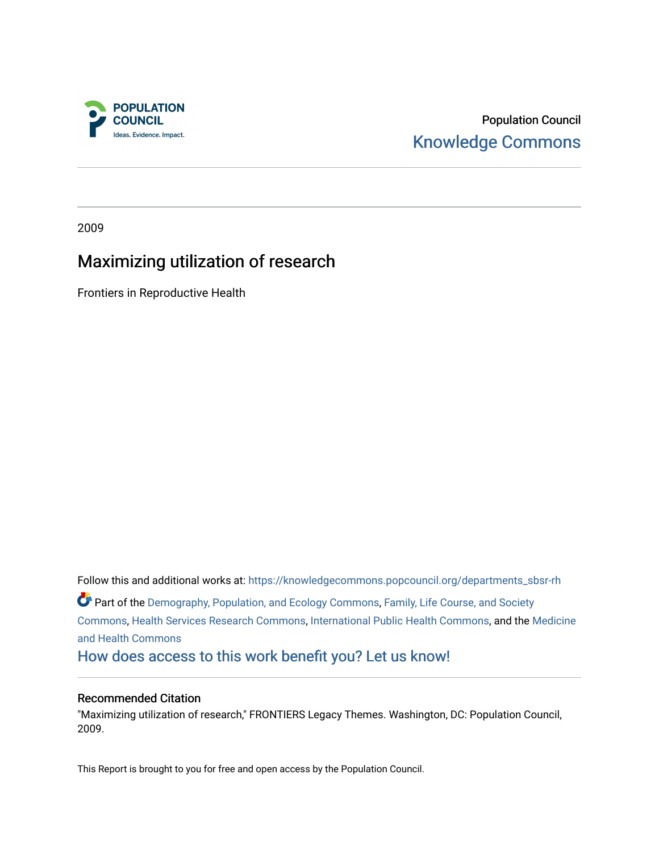

# Population Council [Knowledge Commons](https://knowledgecommons.popcouncil.org/)

2009

# Maximizing utilization of research

Frontiers in Reproductive Health

Follow this and additional works at: [https://knowledgecommons.popcouncil.org/departments\\_sbsr-rh](https://knowledgecommons.popcouncil.org/departments_sbsr-rh?utm_source=knowledgecommons.popcouncil.org%2Fdepartments_sbsr-rh%2F970&utm_medium=PDF&utm_campaign=PDFCoverPages)  Part of the [Demography, Population, and Ecology Commons,](https://network.bepress.com/hgg/discipline/418?utm_source=knowledgecommons.popcouncil.org%2Fdepartments_sbsr-rh%2F970&utm_medium=PDF&utm_campaign=PDFCoverPages) [Family, Life Course, and Society](https://network.bepress.com/hgg/discipline/419?utm_source=knowledgecommons.popcouncil.org%2Fdepartments_sbsr-rh%2F970&utm_medium=PDF&utm_campaign=PDFCoverPages)  [Commons](https://network.bepress.com/hgg/discipline/419?utm_source=knowledgecommons.popcouncil.org%2Fdepartments_sbsr-rh%2F970&utm_medium=PDF&utm_campaign=PDFCoverPages), [Health Services Research Commons](https://network.bepress.com/hgg/discipline/816?utm_source=knowledgecommons.popcouncil.org%2Fdepartments_sbsr-rh%2F970&utm_medium=PDF&utm_campaign=PDFCoverPages), [International Public Health Commons,](https://network.bepress.com/hgg/discipline/746?utm_source=knowledgecommons.popcouncil.org%2Fdepartments_sbsr-rh%2F970&utm_medium=PDF&utm_campaign=PDFCoverPages) and the [Medicine](https://network.bepress.com/hgg/discipline/422?utm_source=knowledgecommons.popcouncil.org%2Fdepartments_sbsr-rh%2F970&utm_medium=PDF&utm_campaign=PDFCoverPages) [and Health Commons](https://network.bepress.com/hgg/discipline/422?utm_source=knowledgecommons.popcouncil.org%2Fdepartments_sbsr-rh%2F970&utm_medium=PDF&utm_campaign=PDFCoverPages)  [How does access to this work benefit you? Let us know!](https://pcouncil.wufoo.com/forms/open-access-to-population-council-research/)

#### Recommended Citation

"Maximizing utilization of research," FRONTIERS Legacy Themes. Washington, DC: Population Council, 2009.

This Report is brought to you for free and open access by the Population Council.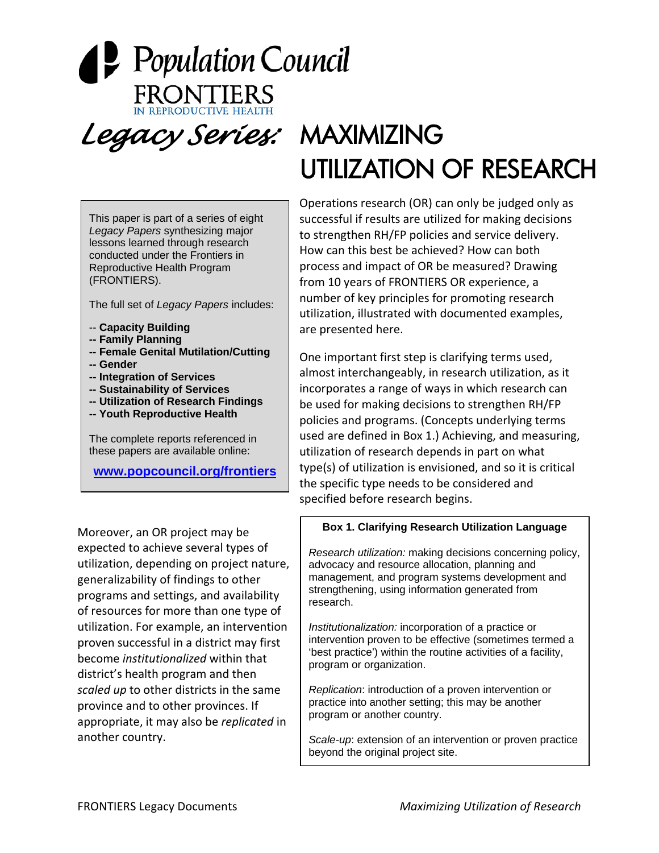# **P** Population Council *Legacy Series:* MAXIMIZING UTILIZATION OF RESEARCH

This paper is part of a series of eight *Legacy Papers* synthesizing major lessons learned through research conducted under the Frontiers in Reproductive Health Program (FRONTIERS).

The full set of *Legacy Papers* includes:

- -- **Capacity Building**
- **-- Family Planning**
- **-- Female Genital Mutilation/Cutting**
- **-- Gender**
- **-- Integration of Services**
- **-- Sustainability of Services**
- **-- Utilization of Research Findings**
- **-- Youth Reproductive Health**

The complete reports referenced in these papers are available online:

**[www.popcouncil.org/frontiers](http://www.popcouncil.org/frontiers)**

Moreover, an OR project may be expected to achieve several types of utilization, depending on project nature, generalizability of findings to other programs and settings, and availability of resources for more than one type of utilization. For example, an intervention proven successful in a district may first become *institutionalized* within that district's health program and then *scaled up* to other districts in the same province and to other provinces. If appropriate, it may also be *replicated* in another country.

Operations research (OR) can only be judged only as successful if results are utilized for making decisions to strengthen RH/FP policies and service delivery. How can this best be achieved? How can both process and impact of OR be measured? Drawing from 10 years of FRONTIERS OR experience, a number of key principles for promoting research utilization, illustrated with documented examples, are presented here.

One important first step is clarifying terms used, almost interchangeably, in research utilization, as it incorporates a range of ways in which research can be used for making decisions to strengthen RH/FP policies and programs. (Concepts underlying terms used are defined in Box 1.) Achieving, and measuring, utilization of research depends in part on what type(s) of utilization is envisioned, and so it is critical the specific type needs to be considered and specified before research begins.

#### **Box 1. Clarifying Research Utilization Language**

*Research utilization:* making decisions concerning policy, advocacy and resource allocation, planning and management, and program systems development and strengthening, using information generated from research.

*Institutionalization:* incorporation of a practice or intervention proven to be effective (sometimes termed a 'best practice') within the routine activities of a facility, program or organization.

*Replication*: introduction of a proven intervention or practice into another setting; this may be another program or another country.

*Scale-up*: extension of an intervention or proven practice beyond the original project site.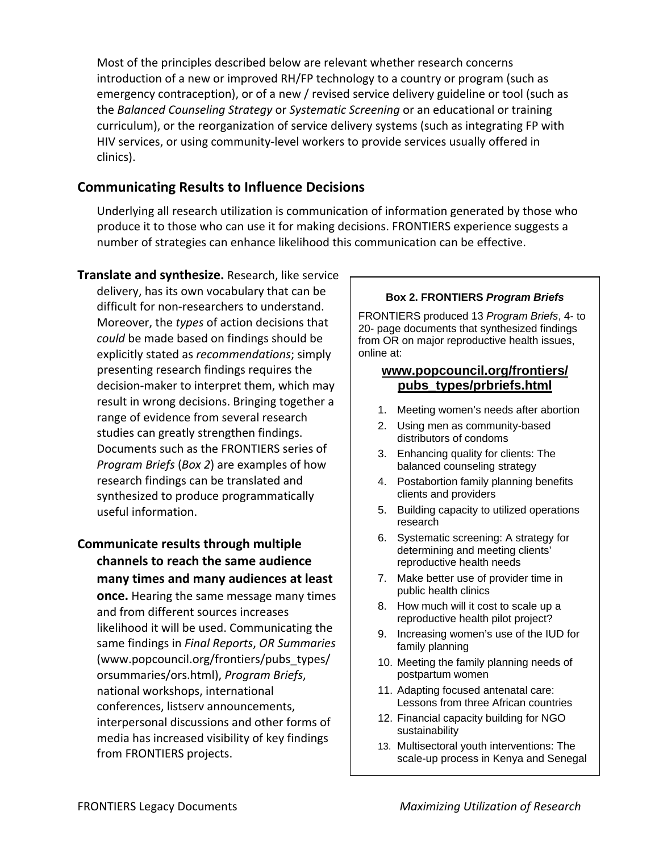Most of the principles described below are relevant whether research concerns introduction of a new or improved RH/FP technology to a country or program (such as emergency contraception), or of a new / revised service delivery guideline or tool (such as the *Balanced Counseling Strategy* or *Systematic Screening* or an educational or training curriculum), or the reorganization of service delivery systems (such as integrating FP with HIV services, or using community‐level workers to provide services usually offered in clinics).

## **Communicating Results to Influence Decisions**

Underlying all research utilization is communication of information generated by those who produce it to those who can use it for making decisions. FRONTIERS experience suggests a number of strategies can enhance likelihood this communication can be effective.

- **Translate and synthesize.** Research, like service delivery, has its own vocabulary that can be difficult for non‐researchers to understand. Moreover, the *types* of action decisions that *could* be made based on findings should be explicitly stated as *recommendations*; simply presenting research findings requires the decision‐maker to interpret them, which may result in wrong decisions. Bringing together a range of evidence from several research studies can greatly strengthen findings. Documents such as the FRONTIERS series of *Program Briefs* (*Box 2*) are examples of how research findings can be translated and synthesized to produce programmatically useful information.
- **Communicate results through multiple channels to reach the same audience many times and many audiences at least once.** Hearing the same message many times and from different sources increases likelihood it will be used. Communicating the same findings in *Final Reports*, *OR Summaries* (www.popcouncil.org/frontiers/pubs\_types/ orsummaries/ors.html), *Program Briefs*, national workshops, international conferences, listserv announcements, interpersonal discussions and other forms of media has increased visibility of key findings from FRONTIERS projects.

#### **Box 2. FRONTIERS** *Program Briefs*

FRONTIERS produced 13 *Program Briefs*, 4- to 20- page documents that synthesized findings from OR on major reproductive health issues, online at:

#### **www.popcouncil.org/frontiers/ pubs\_types/prbriefs.html**

- 1. Meeting women's needs after abortion
- 2. Using men as community-based distributors of condoms
- 3. Enhancing quality for clients: The balanced counseling strategy
- 4. Postabortion family planning benefits clients and providers
- 5. Building capacity to utilized operations research
- 6. Systematic screening: A strategy for determining and meeting clients' reproductive health needs
- 7. Make better use of provider time in public health clinics
- 8. How much will it cost to scale up a reproductive health pilot project?
- 9. Increasing women's use of the IUD for family planning
- 10. Meeting the family planning needs of postpartum women
- 11. Adapting focused antenatal care: Lessons from three African countries
- 12. Financial capacity building for NGO sustainability
- 13. Multisectoral youth interventions: The scale-up process in Kenya and Senegal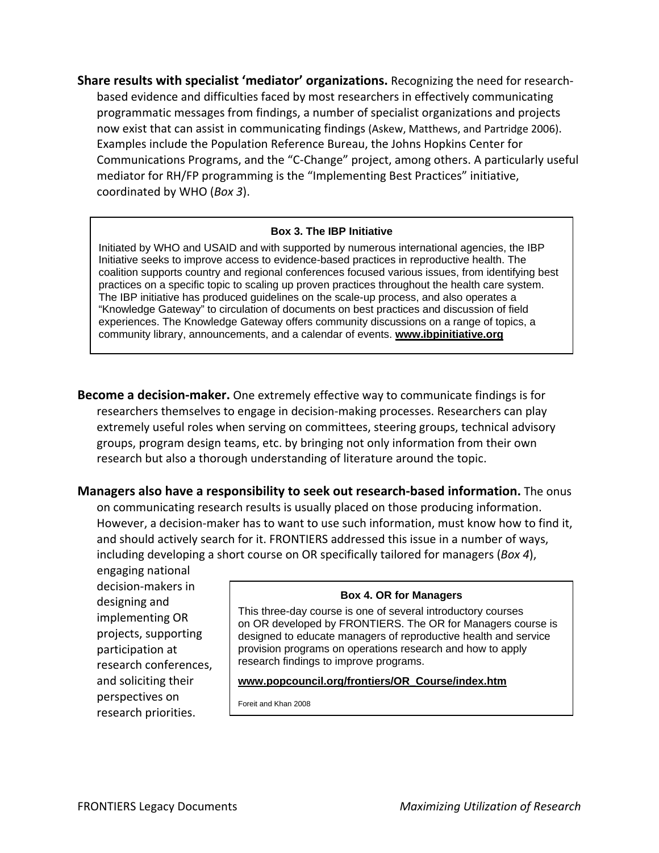**Share results with specialist 'mediator' organizations.** Recognizing the need for research‐ based evidence and difficulties faced by most researchers in effectively communicating programmatic messages from findings, a number of specialist organizations and projects now exist that can assist in communicating findings (Askew, Matthews, and Partridge 2006). Examples include the Population Reference Bureau, the Johns Hopkins Center for Communications Programs, and the "C‐Change" project, among others. A particularly useful mediator for RH/FP programming is the "Implementing Best Practices" initiative, coordinated by WHO (*Box 3*).

#### **Box 3. The IBP Initiative**

Initiated by WHO and USAID and with supported by numerous international agencies, the IBP Initiative seeks to improve access to evidence-based practices in reproductive health. The coalition supports country and regional conferences focused various issues, from identifying best practices on a specific topic to scaling up proven practices throughout the health care system. The IBP initiative has produced guidelines on the scale-up process, and also operates a "Knowledge Gateway" to circulation of documents on best practices and discussion of field experiences. The Knowledge Gateway offers community discussions on a range of topics, a community library, announcements, and a calendar of events. **www.ibpinitiative.org**

**Become a decision‐maker.** One extremely effective way to communicate findings is for researchers themselves to engage in decision‐making processes. Researchers can play extremely useful roles when serving on committees, steering groups, technical advisory groups, program design teams, etc. by bringing not only information from their own research but also a thorough understanding of literature around the topic.

**Managers also have a responsibility to seek out research‐based information.** The onus

on communicating research results is usually placed on those producing information. However, a decision‐maker has to want to use such information, must know how to find it, and should actively search for it. FRONTIERS addressed this issue in a number of ways, including developing a short course on OR specifically tailored for managers (*Box 4*),

engaging national decision‐makers in designing and implementing OR projects, supporting participation at research conferences, and soliciting their perspectives on research priorities.

#### **Box 4. OR for Managers**

This three-day course is one of several introductory courses on OR developed by FRONTIERS. The OR for Managers course is designed to educate managers of reproductive health and service provision programs on operations research and how to apply research findings to improve programs.

#### **www.popcouncil.org/frontiers/OR\_Course/index.htm**

Foreit and Khan 2008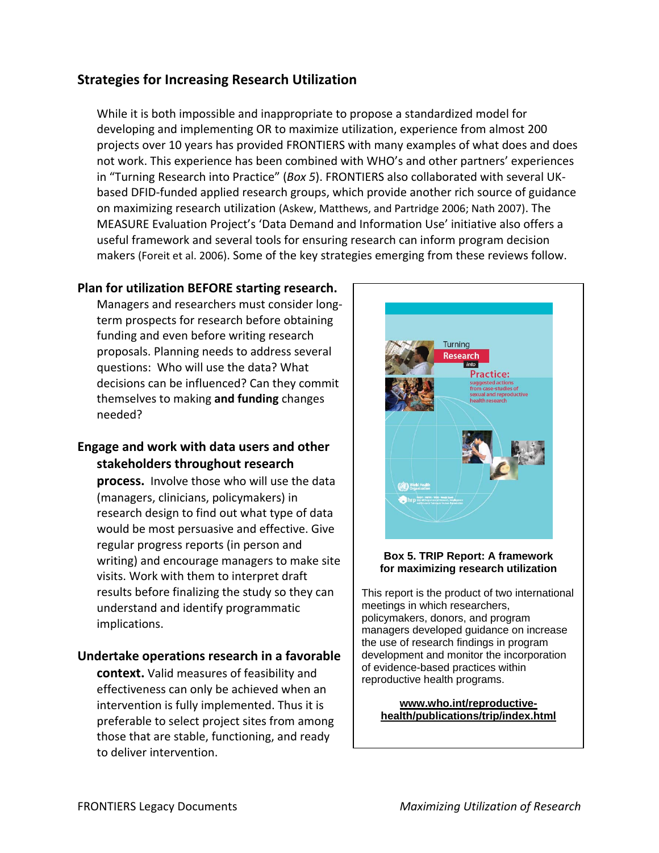# **Strategies for Increasing Research Utilization**

While it is both impossible and inappropriate to propose a standardized model for developing and implementing OR to maximize utilization, experience from almost 200 projects over 10 years has provided FRONTIERS with many examples of what does and does not work. This experience has been combined with WHO's and other partners' experiences in "Turning Research into Practice" (*Box 5*). FRONTIERS also collaborated with several UK‐ based DFID‐funded applied research groups, which provide another rich source of guidance on maximizing research utilization (Askew, Matthews, and Partridge 2006; Nath 2007). The MEASURE Evaluation Project's 'Data Demand and Information Use' initiative also offers a useful framework and several tools for ensuring research can inform program decision makers (Foreit et al. 2006). Some of the key strategies emerging from these reviews follow.

#### **Plan for utilization BEFORE starting research.**

Managers and researchers must consider long‐ term prospects for research before obtaining funding and even before writing research proposals. Planning needs to address several questions: Who will use the data? What decisions can be influenced? Can they commit themselves to making **and funding** changes needed?

## **Engage and work with data users and other stakeholders throughout research**

process. Involve those who will use the data (managers, clinicians, policymakers) in research design to find out what type of data would be most persuasive and effective. Give regular progress reports (in person and writing) and encourage managers to make site visits. Work with them to interpret draft results before finalizing the study so they can understand and identify programmatic implications.

#### **Undertake operations research in a favorable**

**context.** Valid measures of feasibility and effectiveness can only be achieved when an intervention is fully implemented. Thus it is preferable to select project sites from among those that are stable, functioning, and ready to deliver intervention.



#### **Box 5. TRIP Report: A framework for maximizing research utilization**

This report is the product of two international meetings in which researchers, policymakers, donors, and program managers developed guidance on increase the use of research findings in program development and monitor the incorporation of evidence-based practices within reproductive health programs.

**www.who.int/reproductivehealth/publications/trip/index.html**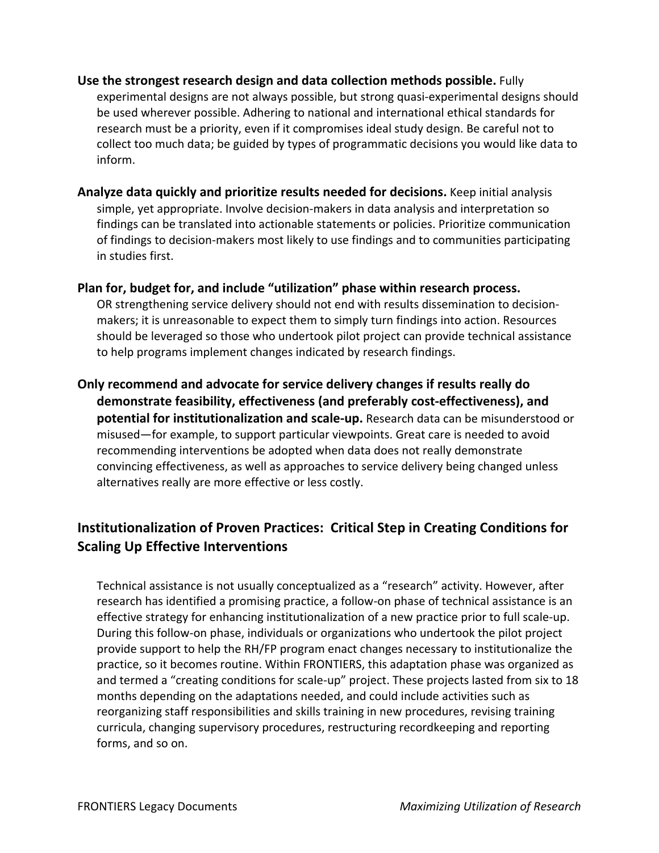- **Use the strongest research design and data collection methods possible.** Fully experimental designs are not always possible, but strong quasi‐experimental designs should be used wherever possible. Adhering to national and international ethical standards for research must be a priority, even if it compromises ideal study design. Be careful not to collect too much data; be guided by types of programmatic decisions you would like data to inform.
- **Analyze data quickly and prioritize results needed for decisions.** Keep initial analysis simple, yet appropriate. Involve decision-makers in data analysis and interpretation so findings can be translated into actionable statements or policies. Prioritize communication of findings to decision‐makers most likely to use findings and to communities participating in studies first.
- **Plan for, budget for, and include "utilization" phase within research process.** OR strengthening service delivery should not end with results dissemination to decision‐ makers; it is unreasonable to expect them to simply turn findings into action. Resources should be leveraged so those who undertook pilot project can provide technical assistance to help programs implement changes indicated by research findings.
- **Only recommend and advocate for service delivery changes if results really do demonstrate feasibility, effectiveness (and preferably cost‐effectiveness), and potential for institutionalization and scale‐up.** Research data can be misunderstood or misused—for example, to support particular viewpoints. Great care is needed to avoid recommending interventions be adopted when data does not really demonstrate convincing effectiveness, as well as approaches to service delivery being changed unless alternatives really are more effective or less costly.

# **Institutionalization of Proven Practices: Critical Step in Creating Conditions for Scaling Up Effective Interventions**

Technical assistance is not usually conceptualized as a "research" activity. However, after research has identified a promising practice, a follow‐on phase of technical assistance is an effective strategy for enhancing institutionalization of a new practice prior to full scale‐up. During this follow‐on phase, individuals or organizations who undertook the pilot project provide support to help the RH/FP program enact changes necessary to institutionalize the practice, so it becomes routine. Within FRONTIERS, this adaptation phase was organized as and termed a "creating conditions for scale-up" project. These projects lasted from six to 18 months depending on the adaptations needed, and could include activities such as reorganizing staff responsibilities and skills training in new procedures, revising training curricula, changing supervisory procedures, restructuring recordkeeping and reporting forms, and so on.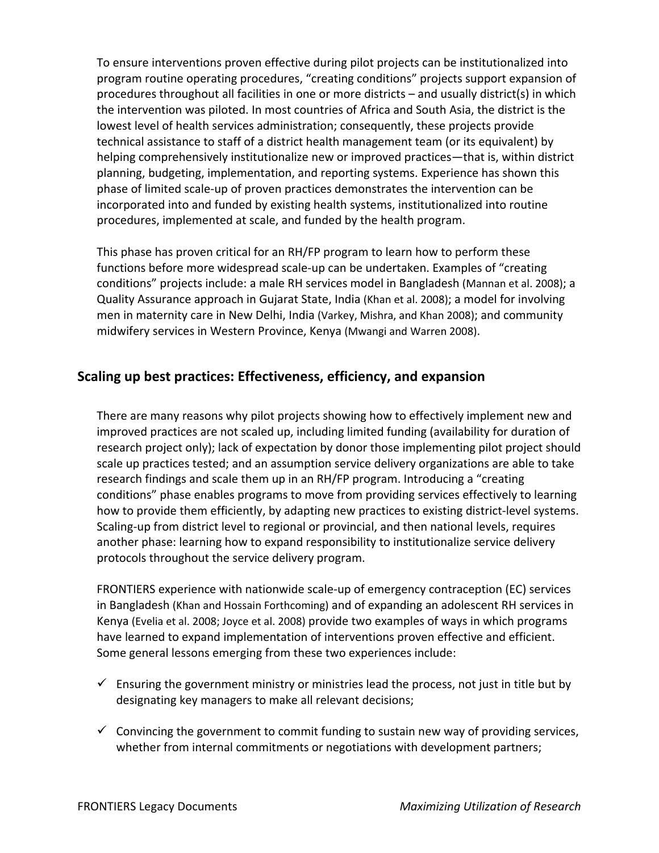To ensure interventions proven effective during pilot projects can be institutionalized into program routine operating procedures, "creating conditions" projects support expansion of procedures throughout all facilities in one or more districts – and usually district(s) in which the intervention was piloted. In most countries of Africa and South Asia, the district is the lowest level of health services administration; consequently, these projects provide technical assistance to staff of a district health management team (or its equivalent) by helping comprehensively institutionalize new or improved practices—that is, within district planning, budgeting, implementation, and reporting systems. Experience has shown this phase of limited scale‐up of proven practices demonstrates the intervention can be incorporated into and funded by existing health systems, institutionalized into routine procedures, implemented at scale, and funded by the health program.

This phase has proven critical for an RH/FP program to learn how to perform these functions before more widespread scale‐up can be undertaken. Examples of "creating conditions" projects include: a male RH services model in Bangladesh (Mannan et al. 2008); a Quality Assurance approach in Gujarat State, India (Khan et al. 2008); a model for involving men in maternity care in New Delhi, India (Varkey, Mishra, and Khan 2008); and community midwifery services in Western Province, Kenya (Mwangi and Warren 2008).

# **Scaling up best practices: Effectiveness, efficiency, and expansion**

There are many reasons why pilot projects showing how to effectively implement new and improved practices are not scaled up, including limited funding (availability for duration of research project only); lack of expectation by donor those implementing pilot project should scale up practices tested; and an assumption service delivery organizations are able to take research findings and scale them up in an RH/FP program. Introducing a "creating conditions" phase enables programs to move from providing services effectively to learning how to provide them efficiently, by adapting new practices to existing district-level systems. Scaling‐up from district level to regional or provincial, and then national levels, requires another phase: learning how to expand responsibility to institutionalize service delivery protocols throughout the service delivery program.

FRONTIERS experience with nationwide scale‐up of emergency contraception (EC) services in Bangladesh (Khan and Hossain Forthcoming) and of expanding an adolescent RH services in Kenya (Evelia et al. 2008; Joyce et al. 2008) provide two examples of ways in which programs have learned to expand implementation of interventions proven effective and efficient. Some general lessons emerging from these two experiences include:

- $\checkmark$  Ensuring the government ministry or ministries lead the process, not just in title but by designating key managers to make all relevant decisions;
- $\checkmark$  Convincing the government to commit funding to sustain new way of providing services, whether from internal commitments or negotiations with development partners;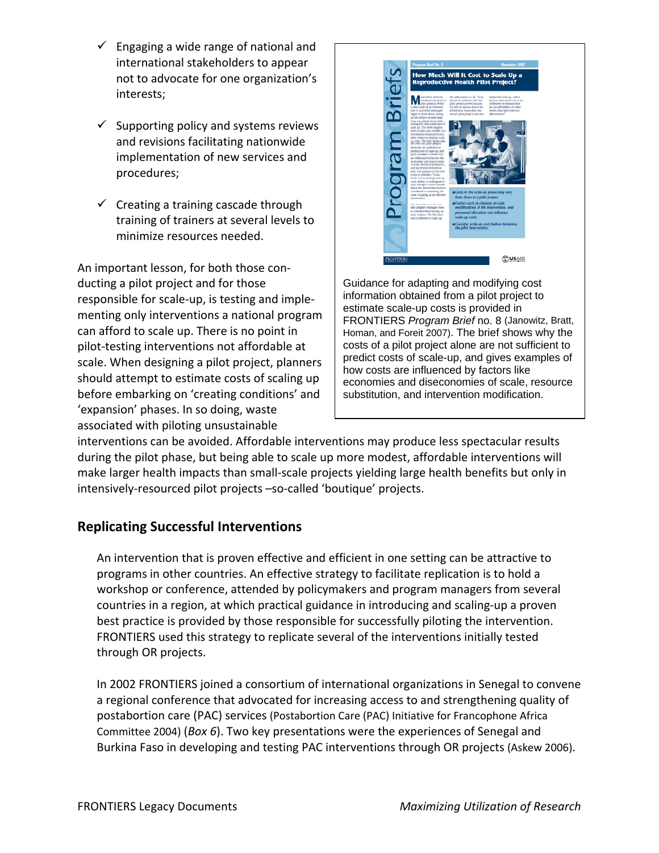- $\checkmark$  Engaging a wide range of national and international stakeholders to appear not to advocate for one organization's interests;
- $\checkmark$  Supporting policy and systems reviews and revisions facilitating nationwide implementation of new services and procedures;
- $\checkmark$  Creating a training cascade through training of trainers at several levels to minimize resources needed.

An important lesson, for both those con‐ ducting a pilot project and for those responsible for scale‐up, is testing and imple‐ menting only interventions a national program can afford to scale up. There is no point in pilot‐testing interventions not affordable at scale. When designing a pilot project, planners should attempt to estimate costs of scaling up before embarking on 'creating conditions' and 'expansion' phases. In so doing, waste associated with piloting unsustainable



Guidance for adapting and modifying cost information obtained from a pilot project to estimate scale-up costs is provided in FRONTIERS *Program Brief* no. 8 (Janowitz, Bratt, Homan, and Foreit 2007). The brief shows why the costs of a pilot project alone are not sufficient to predict costs of scale-up, and gives examples of how costs are influenced by factors like economies and diseconomies of scale, resource substitution, and intervention modification.

interventions can be avoided. Affordable interventions may produce less spectacular results during the pilot phase, but being able to scale up more modest, affordable interventions will make larger health impacts than small‐scale projects yielding large health benefits but only in intensively‐resourced pilot projects –so‐called 'boutique' projects.

# **Replicating Successful Interventions**

An intervention that is proven effective and efficient in one setting can be attractive to programs in other countries. An effective strategy to facilitate replication is to hold a workshop or conference, attended by policymakers and program managers from several countries in a region, at which practical guidance in introducing and scaling‐up a proven best practice is provided by those responsible for successfully piloting the intervention. FRONTIERS used this strategy to replicate several of the interventions initially tested through OR projects.

In 2002 FRONTIERS joined a consortium of international organizations in Senegal to convene a regional conference that advocated for increasing access to and strengthening quality of postabortion care (PAC) services (Postabortion Care (PAC) Initiative for Francophone Africa Committee 2004) (*Box 6*). Two key presentations were the experiences of Senegal and Burkina Faso in developing and testing PAC interventions through OR projects (Askew 2006).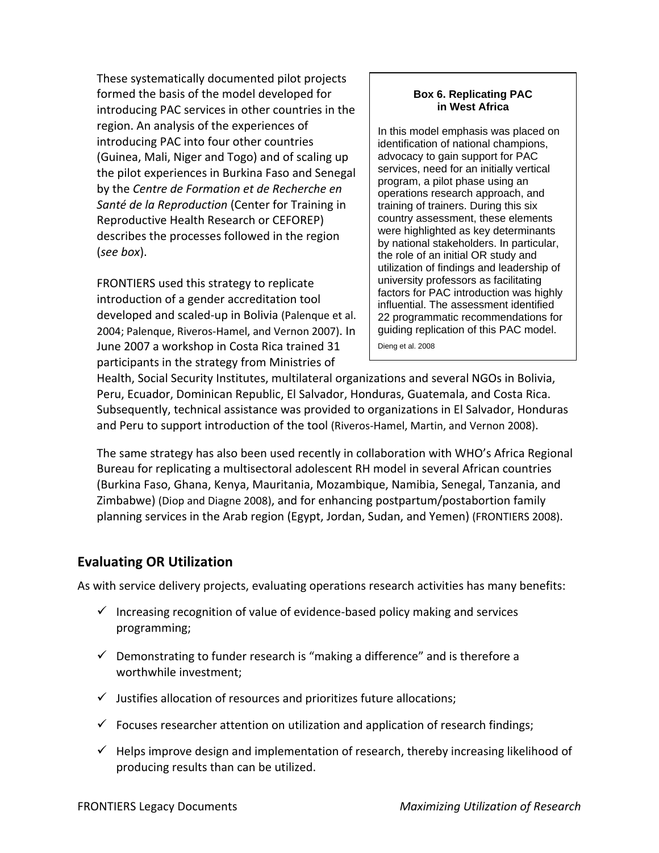These systematically documented pilot projects formed the basis of the model developed for introducing PAC services in other countries in the region. An analysis of the experiences of introducing PAC into four other countries (Guinea, Mali, Niger and Togo) and of scaling up the pilot experiences in Burkina Faso and Senegal by the *Centre de Formation et de Recherche en Santé de la Reproduction* (Center for Training in Reproductive Health Research or CEFOREP) describes the processes followed in the region (*see box*).

FRONTIERS used this strategy to replicate introduction of a gender accreditation tool developed and scaled‐up in Bolivia (Palenque et al. 2004; Palenque, Riveros‐Hamel, and Vernon 2007). In June 2007 a workshop in Costa Rica trained 31 participants in the strategy from Ministries of

#### **Box 6. Replicating PAC in West Africa**

In this model emphasis was placed on identification of national champions, advocacy to gain support for PAC services, need for an initially vertical program, a pilot phase using an operations research approach, and training of trainers. During this six country assessment, these elements were highlighted as key determinants by national stakeholders. In particular, the role of an initial OR study and utilization of findings and leadership of university professors as facilitating factors for PAC introduction was highly influential. The assessment identified 22 programmatic recommendations for guiding replication of this PAC model. Dieng et al. 2008

Health, Social Security Institutes, multilateral organizations and several NGOs in Bolivia, Peru, Ecuador, Dominican Republic, El Salvador, Honduras, Guatemala, and Costa Rica. Subsequently, technical assistance was provided to organizations in El Salvador, Honduras and Peru to support introduction of the tool (Riveros-Hamel, Martin, and Vernon 2008).

The same strategy has also been used recently in collaboration with WHO's Africa Regional Bureau for replicating a multisectoral adolescent RH model in several African countries (Burkina Faso, Ghana, Kenya, Mauritania, Mozambique, Namibia, Senegal, Tanzania, and Zimbabwe) (Diop and Diagne 2008), and for enhancing postpartum/postabortion family planning services in the Arab region (Egypt, Jordan, Sudan, and Yemen) (FRONTIERS 2008).

## **Evaluating OR Utilization**

As with service delivery projects, evaluating operations research activities has many benefits:

- $\checkmark$  Increasing recognition of value of evidence-based policy making and services programming;
- $\checkmark$  Demonstrating to funder research is "making a difference" and is therefore a worthwhile investment;
- $\checkmark$  Justifies allocation of resources and prioritizes future allocations;
- $\checkmark$  Focuses researcher attention on utilization and application of research findings;
- $\checkmark$  Helps improve design and implementation of research, thereby increasing likelihood of producing results than can be utilized.